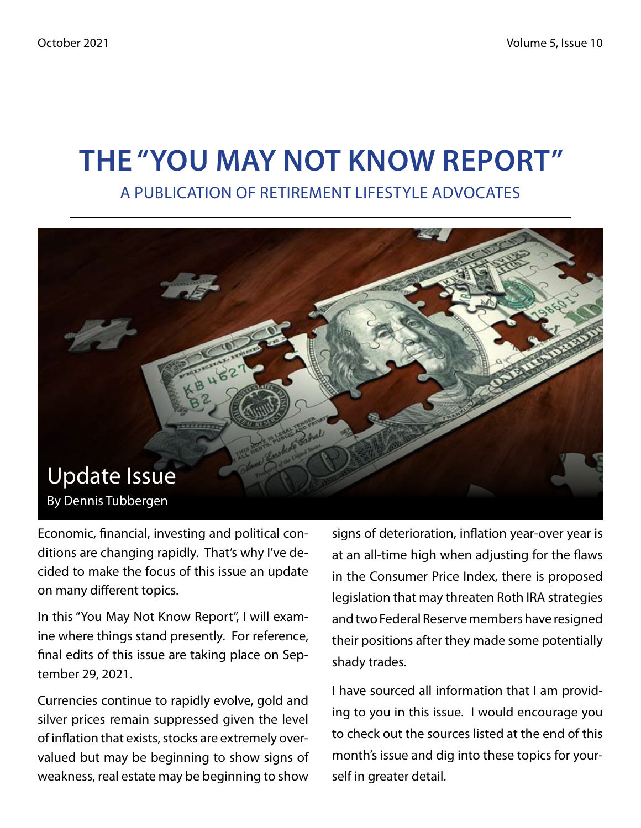# **The "You May Not Know Report"**

A Publication of Retirement Lifestyle Advocates



Economic, financial, investing and political conditions are changing rapidly. That's why I've decided to make the focus of this issue an update on many different topics.

In this "You May Not Know Report", I will examine where things stand presently. For reference, final edits of this issue are taking place on September 29, 2021.

Currencies continue to rapidly evolve, gold and silver prices remain suppressed given the level of inflation that exists, stocks are extremely overvalued but may be beginning to show signs of weakness, real estate may be beginning to show

signs of deterioration, inflation year-over year is at an all-time high when adjusting for the flaws in the Consumer Price Index, there is proposed legislation that may threaten Roth IRA strategies and two Federal Reserve members have resigned their positions after they made some potentially shady trades.

I have sourced all information that I am providing to you in this issue. I would encourage you to check out the sources listed at the end of this month's issue and dig into these topics for yourself in greater detail.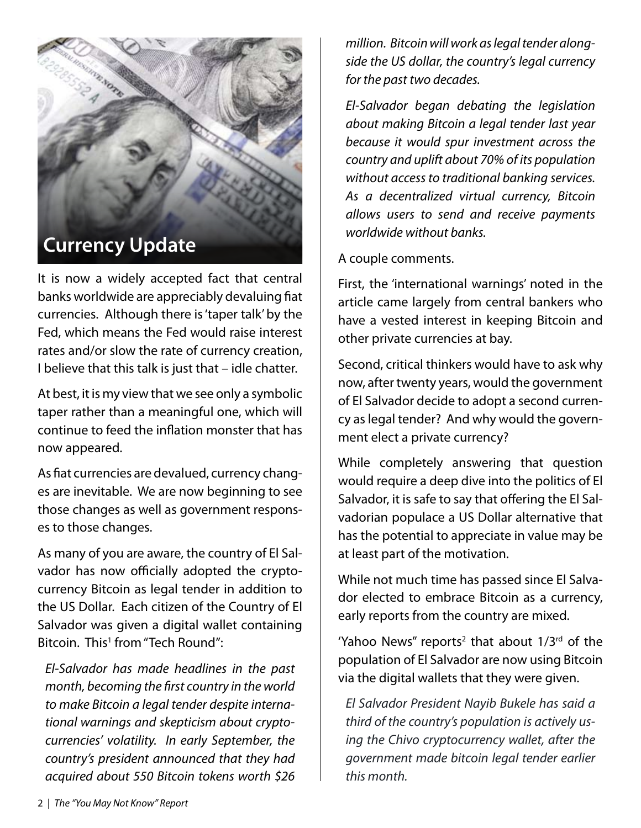

It is now a widely accepted fact that central banks worldwide are appreciably devaluing fiat currencies. Although there is 'taper talk' by the Fed, which means the Fed would raise interest rates and/or slow the rate of currency creation, I believe that this talk is just that – idle chatter.

At best, it is my view that we see only a symbolic taper rather than a meaningful one, which will continue to feed the inflation monster that has now appeared.

As fiat currencies are devalued, currency changes are inevitable. We are now beginning to see those changes as well as government responses to those changes.

As many of you are aware, the country of El Salvador has now officially adopted the cryptocurrency Bitcoin as legal tender in addition to the US Dollar. Each citizen of the Country of El Salvador was given a digital wallet containing Bitcoin. This<sup>1</sup> from "Tech Round":

*El-Salvador has made headlines in the past month, becoming the first country in the world to make Bitcoin a legal tender despite international warnings and skepticism about cryptocurrencies' volatility. In early September, the country's president announced that they had acquired about 550 Bitcoin tokens worth \$26*  *million. Bitcoin will work as legal tender alongside the US dollar, the country's legal currency for the past two decades.*

*El-Salvador began debating the legislation about making Bitcoin a legal tender last year because it would spur investment across the country and uplift about 70% of its population without access to traditional banking services. As a decentralized virtual currency, Bitcoin allows users to send and receive payments worldwide without banks.*

A couple comments.

First, the 'international warnings' noted in the article came largely from central bankers who have a vested interest in keeping Bitcoin and other private currencies at bay.

Second, critical thinkers would have to ask why now, after twenty years, would the government of El Salvador decide to adopt a second currency as legal tender? And why would the government elect a private currency?

While completely answering that question would require a deep dive into the politics of El Salvador, it is safe to say that offering the El Salvadorian populace a US Dollar alternative that has the potential to appreciate in value may be at least part of the motivation.

While not much time has passed since El Salvador elected to embrace Bitcoin as a currency, early reports from the country are mixed.

'Yahoo News" reports<sup>2</sup> that about  $1/3<sup>rd</sup>$  of the population of El Salvador are now using Bitcoin via the digital wallets that they were given.

*El Salvador President Nayib Bukele has said a third of the country's population is actively using the Chivo cryptocurrency wallet, after the government made bitcoin legal tender earlier this month.*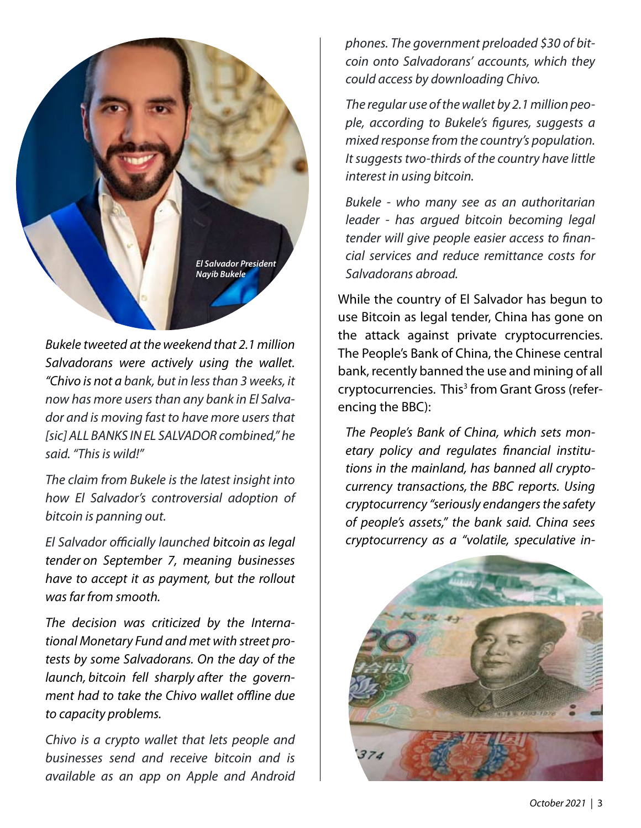

*Bukele tweeted at the weekend that 2.1 million Salvadorans were actively using the wallet. "Chivo is not a bank, but in less than 3 weeks, it now has more users than any bank in El Salvador and is moving fast to have more users that [sic] ALL BANKS IN EL SALVADOR combined," he said. "This is wild!"*

*The claim from Bukele is the latest insight into how El Salvador's controversial adoption of bitcoin is panning out.*

*El Salvador officially launched bitcoin as legal tender on September 7, meaning businesses have to accept it as payment, but the rollout was far from smooth.*

*The decision was criticized by the International Monetary Fund and met with street protests by some Salvadorans. On the day of the launch, bitcoin fell sharply after the government had to take the Chivo wallet offline due to capacity problems.*

*Chivo is a crypto wallet that lets people and businesses send and receive bitcoin and is available as an app on Apple and Android*  *phones. The government preloaded \$30 of bitcoin onto Salvadorans' accounts, which they could access by downloading Chivo.*

*The regular use of the wallet by 2.1 million people, according to Bukele's figures, suggests a mixed response from the country's population. It suggests two-thirds of the country have little interest in using bitcoin.*

*Bukele - who many see as an authoritarian leader - has argued bitcoin becoming legal tender will give people easier access to financial services and reduce remittance costs for Salvadorans abroad.*

While the country of El Salvador has begun to use Bitcoin as legal tender, China has gone on the attack against private cryptocurrencies. The People's Bank of China, the Chinese central bank, recently banned the use and mining of all cryptocurrencies. This<sup>3</sup> from Grant Gross (referencing the BBC):

*The People's Bank of China, which sets monetary policy and regulates financial institutions in the mainland, has banned all cryptocurrency transactions, the BBC reports. Using cryptocurrency "seriously endangers the safety of people's assets," the bank said. China sees cryptocurrency as a "volatile, speculative in-*

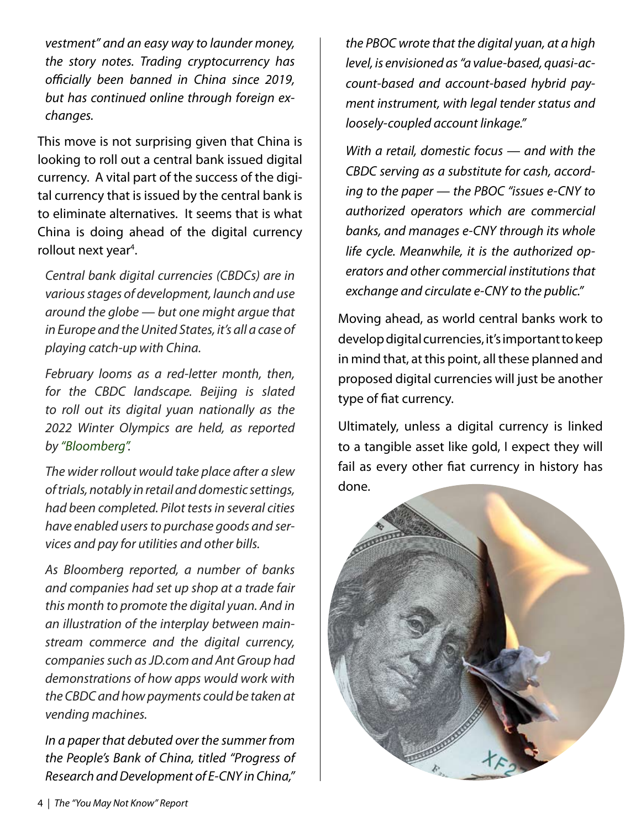*vestment" and an easy way to launder money, the story notes. Trading cryptocurrency has officially been banned in China since 2019, but has continued online through foreign exchanges.*

This move is not surprising given that China is looking to roll out a central bank issued digital currency. A vital part of the success of the digital currency that is issued by the central bank is to eliminate alternatives. It seems that is what China is doing ahead of the digital currency rollout next year<sup>4</sup>.

*Central bank digital currencies (CBDCs) are in various stages of development, launch and use around the globe — but one might argue that in Europe and the United States, it's all a case of playing catch-up with China.*

*February looms as a red-letter month, then, for the CBDC landscape. Beijing is slated to roll out its digital yuan nationally as the 2022 Winter Olympics are held, as reported by "Bloomberg".*

*The wider rollout would take place after a slew of trials, notably in retail and domestic settings, had been completed. Pilot tests in several cities have enabled users to purchase goods and services and pay for utilities and other bills.*

*As Bloomberg reported, a number of banks and companies had set up shop at a trade fair this month to promote the digital yuan. And in an illustration of the interplay between mainstream commerce and the digital currency, companies such as JD.com and Ant Group had demonstrations of how apps would work with the CBDC and how payments could be taken at vending machines.*

*In a paper that debuted over the summer from the People's Bank of China, titled "Progress of Research and Development of E-CNY in China,"*  *the PBOC wrote that the digital yuan, at a high level, is envisioned as "a value-based, quasi-account-based and account-based hybrid payment instrument, with legal tender status and loosely-coupled account linkage."*

*With a retail, domestic focus — and with the CBDC serving as a substitute for cash, according to the paper — the PBOC "issues e-CNY to authorized operators which are commercial banks, and manages e-CNY through its whole life cycle. Meanwhile, it is the authorized operators and other commercial institutions that exchange and circulate e-CNY to the public."*

Moving ahead, as world central banks work to develop digital currencies, it's important to keep in mind that, at this point, all these planned and proposed digital currencies will just be another type of fiat currency.

Ultimately, unless a digital currency is linked to a tangible asset like gold, I expect they will fail as every other fiat currency in history has done.

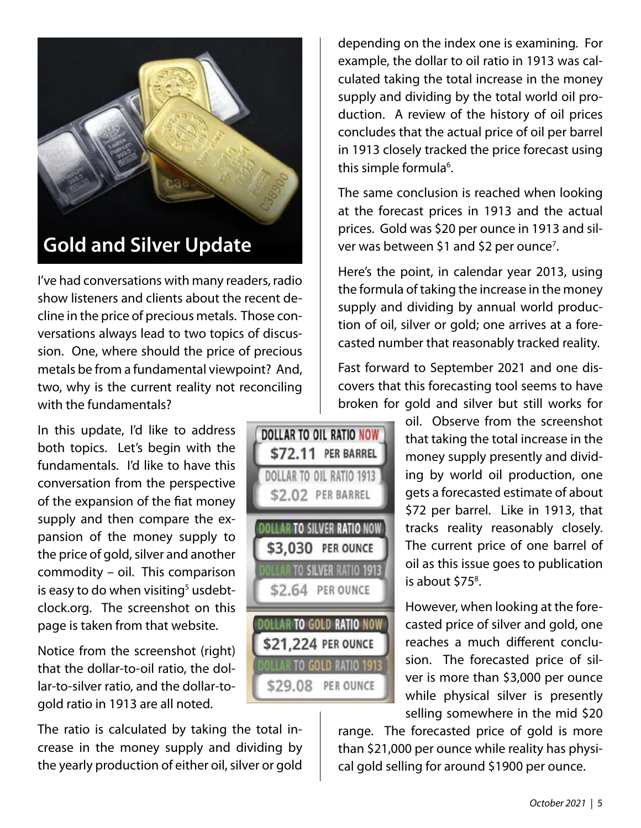

## **Gold and Silver Update**

I've had conversations with many readers, radio show listeners and clients about the recent decline in the price of precious metals. Those conversations always lead to two topics of discussion. One, where should the price of precious metals be from a fundamental viewpoint? And, two, why is the current reality not reconciling with the fundamentals?

In this update, I'd like to address both topics. Let's begin with the fundamentals. I'd like to have this conversation from the perspective of the expansion of the fiat money supply and then compare the expansion of the money supply to the price of gold, silver and another commodity – oil. This comparison is easy to do when visiting<sup>5</sup> usdebtclock.org. The screenshot on this page is taken from that website.

Notice from the screenshot (right) that the dollar-to-oil ratio, the dollar-to-silver ratio, and the dollar-togold ratio in 1913 are all noted.

The ratio is calculated by taking the total increase in the money supply and dividing by the yearly production of either oil, silver or gold depending on the index one is examining. For example, the dollar to oil ratio in 1913 was calculated taking the total increase in the money supply and dividing by the total world oil production. A review of the history of oil prices concludes that the actual price of oil per barrel in 1913 closely tracked the price forecast using this simple formula<sup>6</sup>.

The same conclusion is reached when looking at the forecast prices in 1913 and the actual prices. Gold was \$20 per ounce in 1913 and silver was between \$1 and \$2 per ounce<sup>7</sup>.

Here's the point, in calendar year 2013, using the formula of taking the increase in the money supply and dividing by annual world production of oil, silver or gold; one arrives at a forecasted number that reasonably tracked reality.

Fast forward to September 2021 and one discovers that this forecasting tool seems to have broken for gold and silver but still works for

DOLLAR TO OIL RATIO NOW \$72.11 PER BARREL

DOLLAR TO OIL RATIO 1913 \$2.02 PER BARREL

**DOLLAR TO SILVER RATIO NOW** \$3,030 PER OUNCE

**DOLLAR TO SILVER RATIO 1913** \$2.64 PER OUNCE

**DOLLAR TO GOLD RATIO NOW** \$21,224 PER OUNCE

\$29.08 PER OUNCE

oil. Observe from the screenshot that taking the total increase in the money supply presently and dividing by world oil production, one gets a forecasted estimate of about \$72 per barrel. Like in 1913, that tracks reality reasonably closely. The current price of one barrel of oil as this issue goes to publication is about \$75<sup>8</sup>.

However, when looking at the forecasted price of silver and gold, one reaches a much different conclusion. The forecasted price of silver is more than \$3,000 per ounce while physical silver is presently selling somewhere in the mid \$20

range. The forecasted price of gold is more than \$21,000 per ounce while reality has physical gold selling for around \$1900 per ounce.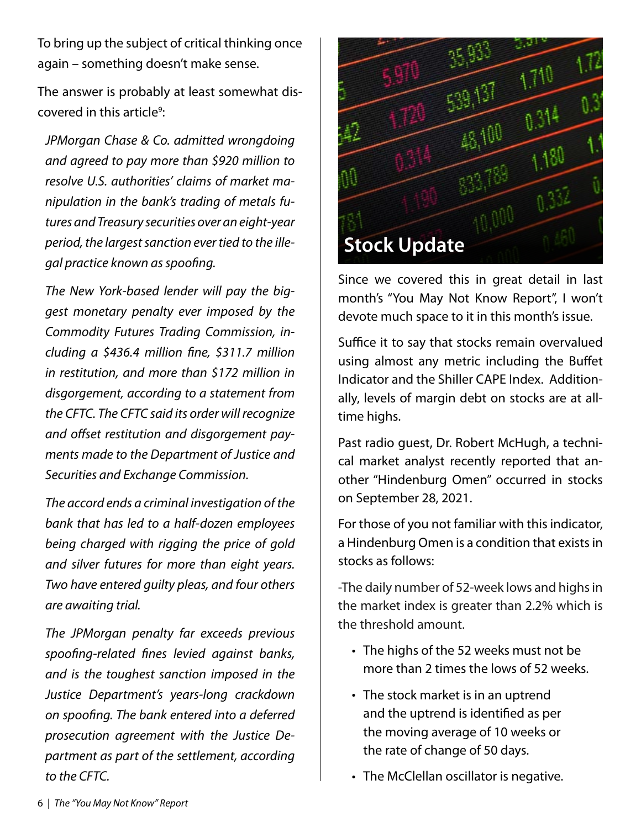To bring up the subject of critical thinking once again – something doesn't make sense.

The answer is probably at least somewhat discovered in this article<sup>9</sup>:

*JPMorgan Chase & Co. admitted wrongdoing and agreed to pay more than \$920 million to resolve U.S. authorities' claims of market manipulation in the bank's trading of metals futures and Treasury securities over an eight-year period, the largest sanction ever tied to the illegal practice known as spoofing.*

*The New York-based lender will pay the biggest monetary penalty ever imposed by the Commodity Futures Trading Commission, including a \$436.4 million fine, \$311.7 million in restitution, and more than \$172 million in disgorgement, according to a statement from the CFTC. The CFTC said its order will recognize and offset restitution and disgorgement payments made to the Department of Justice and Securities and Exchange Commission.*

*The accord ends a criminal investigation of the bank that has led to a half-dozen employees being charged with rigging the price of gold and silver futures for more than eight years. Two have entered guilty pleas, and four others are awaiting trial.*

*The JPMorgan penalty far exceeds previous spoofing-related fines levied against banks, and is the toughest sanction imposed in the Justice Department's years-long crackdown on spoofing. The bank entered into a deferred prosecution agreement with the Justice Department as part of the settlement, according to the CFTC.*



Since we covered this in great detail in last month's "You May Not Know Report", I won't devote much space to it in this month's issue.

Suffice it to say that stocks remain overvalued using almost any metric including the Buffet Indicator and the Shiller CAPE Index. Additionally, levels of margin debt on stocks are at alltime highs.

Past radio guest, Dr. Robert McHugh, a technical market analyst recently reported that another "Hindenburg Omen" occurred in stocks on September 28, 2021.

For those of you not familiar with this indicator, a Hindenburg Omen is a condition that exists in stocks as follows:

-The daily number of 52-week lows and highs in the market index is greater than 2.2% which is the threshold amount.

- The highs of the 52 weeks must not be more than 2 times the lows of 52 weeks.
- The stock market is in an uptrend and the uptrend is identified as per the moving average of 10 weeks or the rate of change of 50 days.
- The McClellan oscillator is negative. •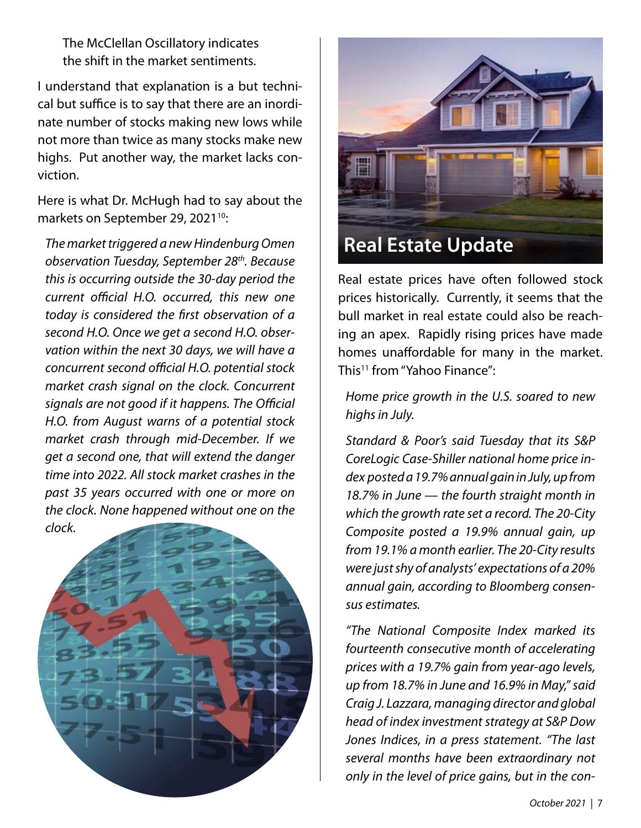The McClellan Oscillatory indicates the shift in the market sentiments.

I understand that explanation is a but technical but suffice is to say that there are an inordinate number of stocks making new lows while not more than twice as many stocks make new highs. Put another way, the market lacks conviction.

Here is what Dr. McHugh had to say about the markets on September 29, 2021<sup>10</sup>:

*The market triggered a new Hindenburg Omen observation Tuesday, September 28th. Because this is occurring outside the 30-day period the current official H.O. occurred, this new one today is considered the first observation of a second H.O. Once we get a second H.O. observation within the next 30 days, we will have a concurrent second official H.O. potential stock market crash signal on the clock. Concurrent signals are not good if it happens. The Official H.O. from August warns of a potential stock market crash through mid-December. If we get a second one, that will extend the danger time into 2022. All stock market crashes in the past 35 years occurred with one or more on the clock. None happened without one on the* 





Real estate prices have often followed stock prices historically. Currently, it seems that the bull market in real estate could also be reaching an apex. Rapidly rising prices have made homes unaffordable for many in the market. This11 from "Yahoo Finance":

*Home price growth in the U.S. soared to new highs in July.*

*Standard & Poor's said Tuesday that its S&P CoreLogic Case-Shiller national home price index posted a 19.7% annual gain in July, up from 18.7% in June — the fourth straight month in which the growth rate set a record. The 20-City Composite posted a 19.9% annual gain, up from 19.1% a month earlier. The 20-City results were just shy of analysts' expectations of a 20% annual gain, according to Bloomberg consensus estimates.*

*"The National Composite Index marked its fourteenth consecutive month of accelerating prices with a 19.7% gain from year-ago levels, up from 18.7% in June and 16.9% in May," said Craig J. Lazzara, managing director and global head of index investment strategy at S&P Dow Jones Indices, in a press statement. "The last several months have been extraordinary not only in the level of price gains, but in the con-*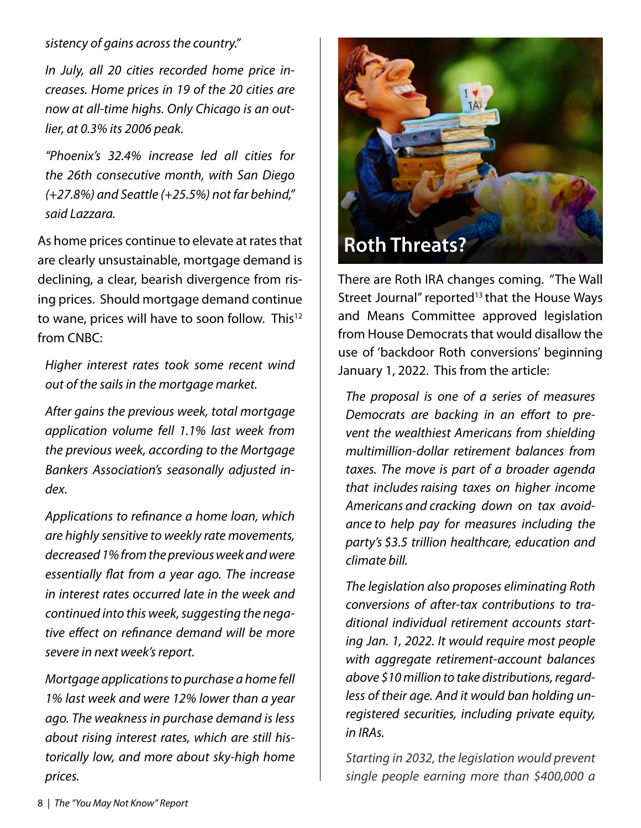#### *sistency of gains across the country."*

*In July, all 20 cities recorded home price increases. Home prices in 19 of the 20 cities are now at all-time highs. Only Chicago is an outlier, at 0.3% its 2006 peak.*

*"Phoenix's 32.4% increase led all cities for the 26th consecutive month, with San Diego (+27.8%) and Seattle (+25.5%) not far behind," said Lazzara.*

As home prices continue to elevate at rates that are clearly unsustainable, mortgage demand is declining, a clear, bearish divergence from rising prices. Should mortgage demand continue to wane, prices will have to soon follow. This<sup>12</sup> from CNBC:

*Higher interest rates took some recent wind out of the sails in the mortgage market.*

*After gains the previous week, total mortgage application volume fell 1.1% last week from the previous week, according to the Mortgage Bankers Association's seasonally adjusted index.*

*Applications to refinance a home loan, which are highly sensitive to weekly rate movements, decreased 1% from the previous week and were essentially flat from a year ago. The increase in interest rates occurred late in the week and continued into this week, suggesting the negative effect on refinance demand will be more severe in next week's report.*

*Mortgage applications to purchase a home fell 1% last week and were 12% lower than a year ago. The weakness in purchase demand is less about rising interest rates, which are still historically low, and more about sky-high home prices.*



There are Roth IRA changes coming. "The Wall Street Journal" reported $13$  that the House Ways and Means Committee approved legislation from House Democrats that would disallow the use of 'backdoor Roth conversions' beginning January 1, 2022. This from the article:

*The proposal is one of a series of measures Democrats are backing in an effort to prevent the wealthiest Americans from shielding multimillion-dollar retirement balances from taxes. The move is part of a broader agenda that includesraising taxes on higher income Americans and cracking down on tax avoidance to help pay for measures including the party's \$3.5 trillion healthcare, education and climate bill.*

*The legislation also proposes eliminating Roth conversions of after-tax contributions to traditional individual retirement accounts starting Jan. 1, 2022. It would require most people with aggregate retirement-account balances above \$10 million to take distributions, regardless of their age. And it would ban holding unregistered securities, including private equity, in IRAs.*

*Starting in 2032, the legislation would prevent single people earning more than \$400,000 a*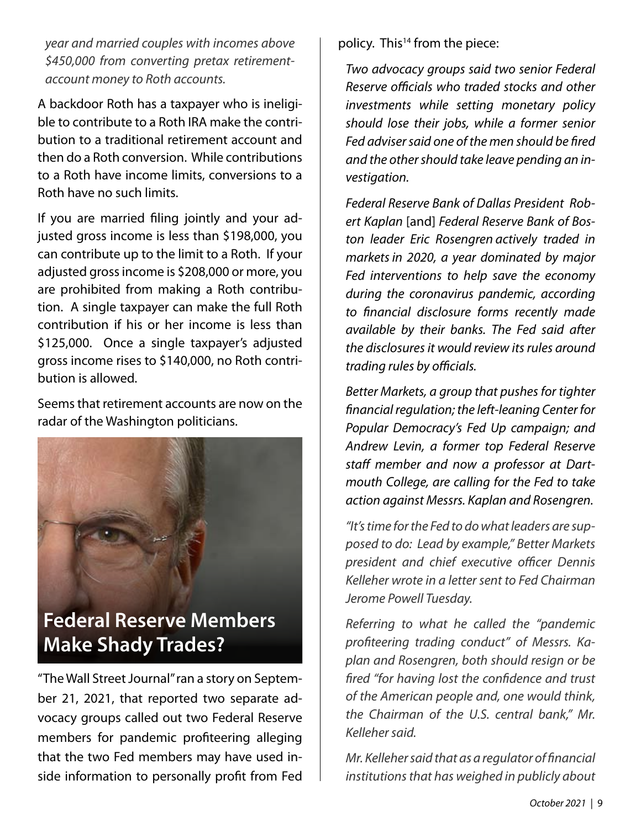*year and married couples with incomes above \$450,000 from converting pretax retirementaccount money to Roth accounts.*

A backdoor Roth has a taxpayer who is ineligible to contribute to a Roth IRA make the contribution to a traditional retirement account and then do a Roth conversion. While contributions to a Roth have income limits, conversions to a Roth have no such limits.

If you are married filing jointly and your adjusted gross income is less than \$198,000, you can contribute up to the limit to a Roth. If your adjusted gross income is \$208,000 or more, you are prohibited from making a Roth contribution. A single taxpayer can make the full Roth contribution if his or her income is less than \$125,000. Once a single taxpayer's adjusted gross income rises to \$140,000, no Roth contribution is allowed.

Seems that retirement accounts are now on the radar of the Washington politicians.



# **Federal Reserve Members Make Shady Trades?**

"The Wall Street Journal" ran a story on September 21, 2021, that reported two separate advocacy groups called out two Federal Reserve members for pandemic profiteering alleging that the two Fed members may have used inside information to personally profit from Fed policy. This<sup>14</sup> from the piece:

*Two advocacy groups said two senior Federal Reserve officials who traded stocks and other investments while setting monetary policy should lose their jobs, while a former senior Fed adviser said one of the men should be fired and the other should take leave pending an investigation.*

*Federal Reserve Bank of Dallas President Robert Kaplan* [and] *Federal Reserve Bank of Boston leader Eric Rosengren actively traded in marketsin 2020, a year dominated by major Fed interventions to help save the economy during the coronavirus pandemic, according to financial disclosure forms recently made available by their banks. The Fed said after the disclosures it would review its rules around trading rules by officials.*

*Better Markets, a group that pushes for tighter financial regulation; the left-leaning Center for Popular Democracy's Fed Up campaign; and Andrew Levin, a former top Federal Reserve staff member and now a professor at Dartmouth College, are calling for the Fed to take action against Messrs. Kaplan and Rosengren.*

*"It's time for the Fed to do what leaders are supposed to do: Lead by example," Better Markets president and chief executive officer Dennis Kelleher wrote in a letter sent to Fed Chairman Jerome Powell Tuesday.*

*Referring to what he called the "pandemic profiteering trading conduct" of Messrs. Kaplan and Rosengren, both should resign or be fired "for having lost the confidence and trust of the American people and, one would think, the Chairman of the U.S. central bank," Mr. Kelleher said.*

*Mr. Kelleher said that as a regulator of financial institutions that has weighed in publicly about*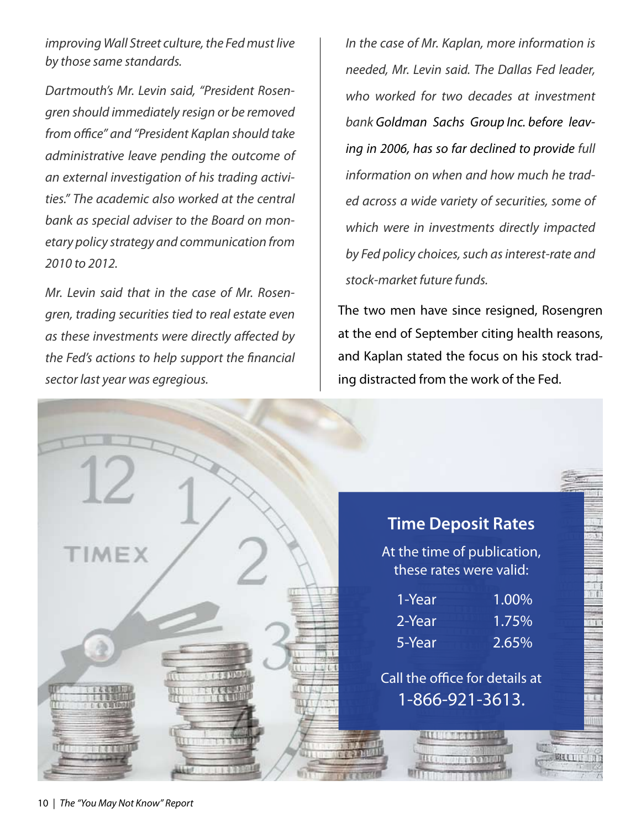*improving Wall Street culture, the Fed must live by those same standards.*

*Dartmouth's Mr. Levin said, "President Rosengren should immediately resign or be removed from office" and "President Kaplan should take administrative leave pending the outcome of an external investigation of his trading activities." The academic also worked at the central bank as special adviser to the Board on monetary policy strategy and communication from 2010 to 2012.*

*Mr. Levin said that in the case of Mr. Rosengren, trading securities tied to real estate even as these investments were directly affected by the Fed's actions to help support the financial sector last year was egregious.*

*In the case of Mr. Kaplan, more information is needed, Mr. Levin said. The Dallas Fed leader, who worked for two decades at investment bank Goldman Sachs Group Inc. before leaving in 2006, has so far declined to provide full information on when and how much he traded across a wide variety of securities, some of which were in investments directly impacted by Fed policy choices, such as interest-rate and stock-market future funds.*

The two men have since resigned, Rosengren at the end of September citing health reasons, and Kaplan stated the focus on his stock trading distracted from the work of the Fed.

|              | <b>Time Deposit Rates</b> |                                                        |  |  |
|--------------|---------------------------|--------------------------------------------------------|--|--|
| <b>TIMEX</b> |                           | At the time of publication,<br>these rates were valid: |  |  |
|              | 1-Year                    | 1.00%                                                  |  |  |
|              | 2-Year                    | 1.75%                                                  |  |  |
|              | 5-Year                    | 2.65%                                                  |  |  |
|              |                           | Call the office for details at<br>1-866-921-3613.      |  |  |
|              |                           |                                                        |  |  |
|              |                           |                                                        |  |  |
|              | 1. 印片丰泉                   |                                                        |  |  |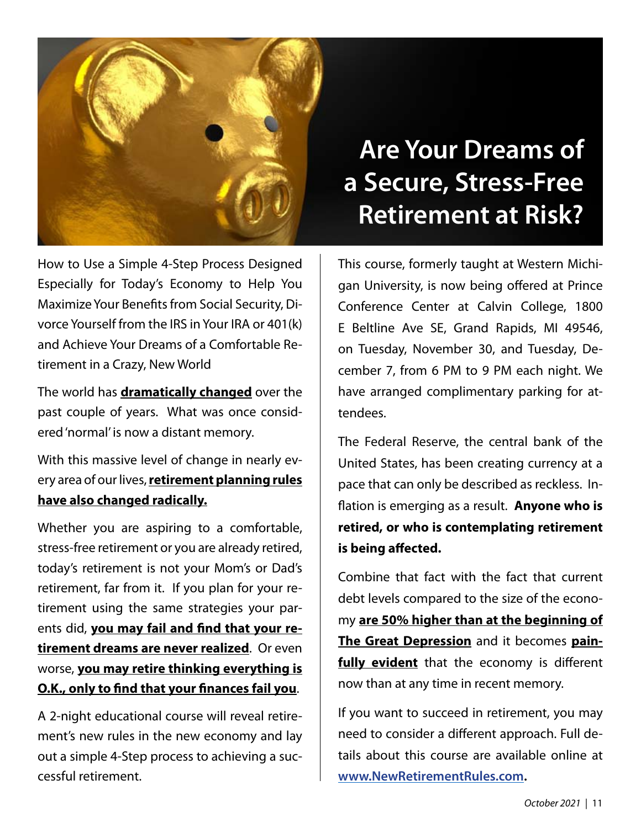

#### How to Use a Simple 4-Step Process Designed Especially for Today's Economy to Help You Maximize Your Benefits from Social Security, Divorce Yourself from the IRS in Your IRA or 401(k) and Achieve Your Dreams of a Comfortable Retirement in a Crazy, New World

The world has **dramatically changed** over the past couple of years. What was once considered 'normal' is now a distant memory.

With this massive level of change in nearly every area of our lives, **retirement planning rules have also changed radically.**

Whether you are aspiring to a comfortable, stress-free retirement or you are already retired, today's retirement is not your Mom's or Dad's retirement, far from it. If you plan for your retirement using the same strategies your parents did, **you may fail and find that your retirement dreams are never realized**. Or even worse, **you may retire thinking everything is O.K., only to find that your finances fail you**.

A 2-night educational course will reveal retirement's new rules in the new economy and lay out a simple 4-Step process to achieving a successful retirement.

# **Are Your Dreams of a Secure, Stress-Free Retirement at Risk?**

This course, formerly taught at Western Michigan University, is now being offered at Prince Conference Center at Calvin College, 1800 E Beltline Ave SE, Grand Rapids, MI 49546, on Tuesday, November 30, and Tuesday, December 7, from 6 PM to 9 PM each night. We have arranged complimentary parking for attendees.

The Federal Reserve, the central bank of the United States, has been creating currency at a pace that can only be described as reckless. Inflation is emerging as a result. **Anyone who is retired, or who is contemplating retirement is being affected.**

Combine that fact with the fact that current debt levels compared to the size of the economy **are 50% higher than at the beginning of The Great Depression** and it becomes **painfully evident** that the economy is different now than at any time in recent memory.

If you want to succeed in retirement, you may need to consider a different approach. Full details about this course are available online at **www.NewRetirementRules.com.**